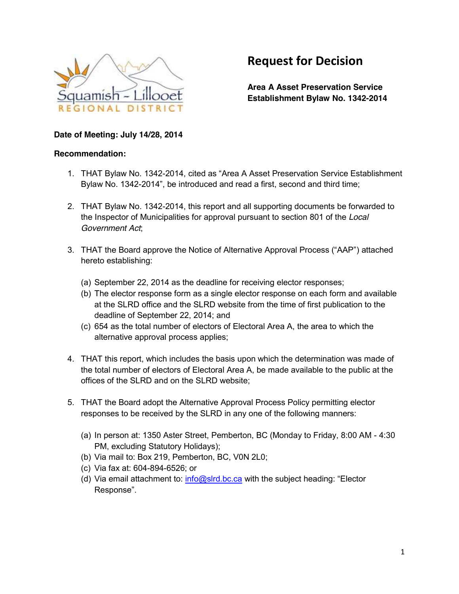

# **Request for Decision**

**Area A Asset Preservation Service Establishment Bylaw No. 1342-2014**

#### **Date of Meeting: July 14/28, 2014**

#### **Recommendation:**

- 1. THAT Bylaw No. 1342-2014, cited as "Area A Asset Preservation Service Establishment Bylaw No. 1342-2014", be introduced and read a first, second and third time;
- 2. THAT Bylaw No. 1342-2014, this report and all supporting documents be forwarded to the Inspector of Municipalities for approval pursuant to section 801 of the *Local Government Act*;
- 3. THAT the Board approve the Notice of Alternative Approval Process ("AAP") attached hereto establishing:
	- (a) September 22, 2014 as the deadline for receiving elector responses;
	- (b) The elector response form as a single elector response on each form and available at the SLRD office and the SLRD website from the time of first publication to the deadline of September 22, 2014; and
	- (c) 654 as the total number of electors of Electoral Area A, the area to which the alternative approval process applies;
- 4. THAT this report, which includes the basis upon which the determination was made of the total number of electors of Electoral Area A, be made available to the public at the offices of the SLRD and on the SLRD website;
- 5. THAT the Board adopt the Alternative Approval Process Policy permitting elector responses to be received by the SLRD in any one of the following manners:
	- (a) In person at: 1350 Aster Street, Pemberton, BC (Monday to Friday, 8:00 AM 4:30 PM, excluding Statutory Holidays);
	- (b) Via mail to: Box 219, Pemberton, BC, V0N 2L0;
	- (c) Via fax at: 604-894-6526; or
	- (d) Via email attachment to: [info@slrd.bc.ca](mailto:info@slrd.bc.ca) with the subject heading: "Elector Response".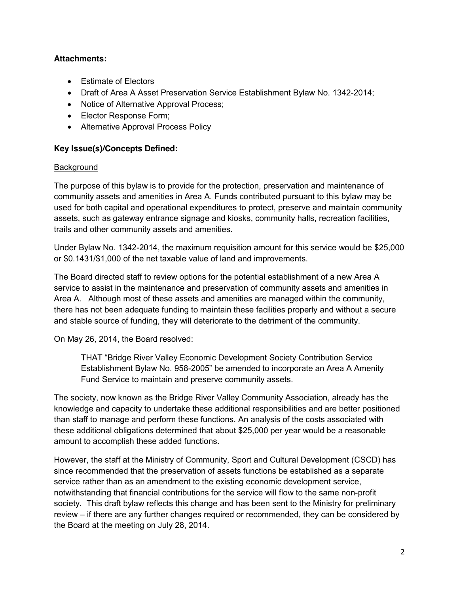# **Attachments:**

- Estimate of Electors
- Draft of Area A Asset Preservation Service Establishment Bylaw No. 1342-2014;
- Notice of Alternative Approval Process;
- Elector Response Form;
- Alternative Approval Process Policy

# **Key Issue(s)/Concepts Defined:**

# **Background**

The purpose of this bylaw is to provide for the protection, preservation and maintenance of community assets and amenities in Area A. Funds contributed pursuant to this bylaw may be used for both capital and operational expenditures to protect, preserve and maintain community assets, such as gateway entrance signage and kiosks, community halls, recreation facilities, trails and other community assets and amenities.

Under Bylaw No. 1342-2014, the maximum requisition amount for this service would be \$25,000 or \$0.1431/\$1,000 of the net taxable value of land and improvements.

The Board directed staff to review options for the potential establishment of a new Area A service to assist in the maintenance and preservation of community assets and amenities in Area A. Although most of these assets and amenities are managed within the community, there has not been adequate funding to maintain these facilities properly and without a secure and stable source of funding, they will deteriorate to the detriment of the community.

On May 26, 2014, the Board resolved:

THAT "Bridge River Valley Economic Development Society Contribution Service Establishment Bylaw No. 958-2005" be amended to incorporate an Area A Amenity Fund Service to maintain and preserve community assets.

The society, now known as the Bridge River Valley Community Association, already has the knowledge and capacity to undertake these additional responsibilities and are better positioned than staff to manage and perform these functions. An analysis of the costs associated with these additional obligations determined that about \$25,000 per year would be a reasonable amount to accomplish these added functions.

However, the staff at the Ministry of Community, Sport and Cultural Development (CSCD) has since recommended that the preservation of assets functions be established as a separate service rather than as an amendment to the existing economic development service, notwithstanding that financial contributions for the service will flow to the same non-profit society. This draft bylaw reflects this change and has been sent to the Ministry for preliminary review – if there are any further changes required or recommended, they can be considered by the Board at the meeting on July 28, 2014.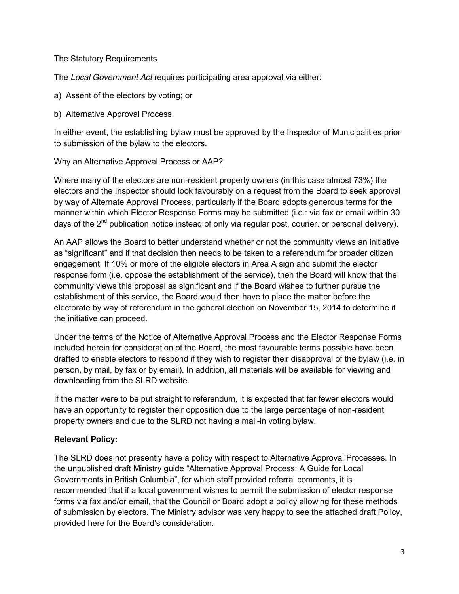### The Statutory Requirements

The *Local Government Act* requires participating area approval via either:

- a) Assent of the electors by voting; or
- b) Alternative Approval Process.

In either event, the establishing bylaw must be approved by the Inspector of Municipalities prior to submission of the bylaw to the electors.

## Why an Alternative Approval Process or AAP?

Where many of the electors are non-resident property owners (in this case almost 73%) the electors and the Inspector should look favourably on a request from the Board to seek approval by way of Alternate Approval Process, particularly if the Board adopts generous terms for the manner within which Elector Response Forms may be submitted (i.e.: via fax or email within 30 days of the  $2^{nd}$  publication notice instead of only via regular post, courier, or personal delivery).

An AAP allows the Board to better understand whether or not the community views an initiative as "significant" and if that decision then needs to be taken to a referendum for broader citizen engagement. If 10% or more of the eligible electors in Area A sign and submit the elector response form (i.e. oppose the establishment of the service), then the Board will know that the community views this proposal as significant and if the Board wishes to further pursue the establishment of this service, the Board would then have to place the matter before the electorate by way of referendum in the general election on November 15, 2014 to determine if the initiative can proceed.

Under the terms of the Notice of Alternative Approval Process and the Elector Response Forms included herein for consideration of the Board, the most favourable terms possible have been drafted to enable electors to respond if they wish to register their disapproval of the bylaw (i.e. in person, by mail, by fax or by email). In addition, all materials will be available for viewing and downloading from the SLRD website.

If the matter were to be put straight to referendum, it is expected that far fewer electors would have an opportunity to register their opposition due to the large percentage of non-resident property owners and due to the SLRD not having a mail-in voting bylaw.

# **Relevant Policy:**

The SLRD does not presently have a policy with respect to Alternative Approval Processes. In the unpublished draft Ministry guide "Alternative Approval Process: A Guide for Local Governments in British Columbia", for which staff provided referral comments, it is recommended that if a local government wishes to permit the submission of elector response forms via fax and/or email, that the Council or Board adopt a policy allowing for these methods of submission by electors. The Ministry advisor was very happy to see the attached draft Policy, provided here for the Board's consideration.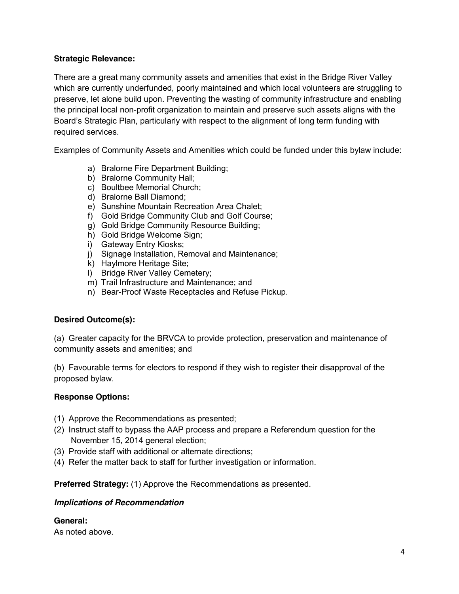# **Strategic Relevance:**

There are a great many community assets and amenities that exist in the Bridge River Valley which are currently underfunded, poorly maintained and which local volunteers are struggling to preserve, let alone build upon. Preventing the wasting of community infrastructure and enabling the principal local non-profit organization to maintain and preserve such assets aligns with the Board's Strategic Plan, particularly with respect to the alignment of long term funding with required services.

Examples of Community Assets and Amenities which could be funded under this bylaw include:

- a) Bralorne Fire Department Building;
- b) Bralorne Community Hall;
- c) Boultbee Memorial Church;
- d) Bralorne Ball Diamond;
- e) Sunshine Mountain Recreation Area Chalet;
- f) Gold Bridge Community Club and Golf Course;
- g) Gold Bridge Community Resource Building;
- h) Gold Bridge Welcome Sign;
- i) Gateway Entry Kiosks;
- j) Signage Installation, Removal and Maintenance;
- k) Haylmore Heritage Site;
- l) Bridge River Valley Cemetery;
- m) Trail Infrastructure and Maintenance; and
- n) Bear-Proof Waste Receptacles and Refuse Pickup.

# **Desired Outcome(s):**

(a) Greater capacity for the BRVCA to provide protection, preservation and maintenance of community assets and amenities; and

(b) Favourable terms for electors to respond if they wish to register their disapproval of the proposed bylaw.

#### **Response Options:**

- (1) Approve the Recommendations as presented;
- (2) Instruct staff to bypass the AAP process and prepare a Referendum question for the November 15, 2014 general election;
- (3) Provide staff with additional or alternate directions;
- (4) Refer the matter back to staff for further investigation or information.

**Preferred Strategy:** (1) Approve the Recommendations as presented.

#### *Implications of Recommendation*

#### **General:**

As noted above.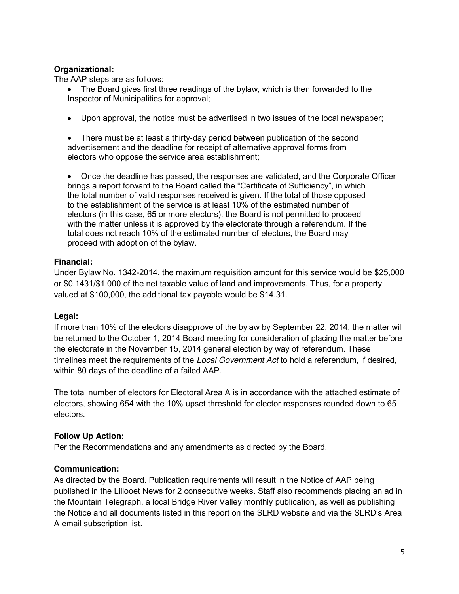## **Organizational:**

The AAP steps are as follows:

• The Board gives first three readings of the bylaw, which is then forwarded to the Inspector of Municipalities for approval;

• Upon approval, the notice must be advertised in two issues of the local newspaper;

• There must be at least a thirty-day period between publication of the second advertisement and the deadline for receipt of alternative approval forms from electors who oppose the service area establishment;

Once the deadline has passed, the responses are validated, and the Corporate Officer brings a report forward to the Board called the "Certificate of Sufficiency", in which the total number of valid responses received is given. If the total of those opposed to the establishment of the service is at least 10% of the estimated number of electors (in this case, 65 or more electors), the Board is not permitted to proceed with the matter unless it is approved by the electorate through a referendum. If the total does not reach 10% of the estimated number of electors, the Board may proceed with adoption of the bylaw.

## **Financial:**

Under Bylaw No. 1342-2014, the maximum requisition amount for this service would be \$25,000 or \$0.1431/\$1,000 of the net taxable value of land and improvements. Thus, for a property valued at \$100,000, the additional tax payable would be \$14.31.

#### **Legal:**

If more than 10% of the electors disapprove of the bylaw by September 22, 2014, the matter will be returned to the October 1, 2014 Board meeting for consideration of placing the matter before the electorate in the November 15, 2014 general election by way of referendum. These timelines meet the requirements of the *Local Government Act* to hold a referendum, if desired, within 80 days of the deadline of a failed AAP.

The total number of electors for Electoral Area A is in accordance with the attached estimate of electors, showing 654 with the 10% upset threshold for elector responses rounded down to 65 electors.

# **Follow Up Action:**

Per the Recommendations and any amendments as directed by the Board.

# **Communication:**

As directed by the Board. Publication requirements will result in the Notice of AAP being published in the Lillooet News for 2 consecutive weeks. Staff also recommends placing an ad in the Mountain Telegraph, a local Bridge River Valley monthly publication, as well as publishing the Notice and all documents listed in this report on the SLRD website and via the SLRD's Area A email subscription list.